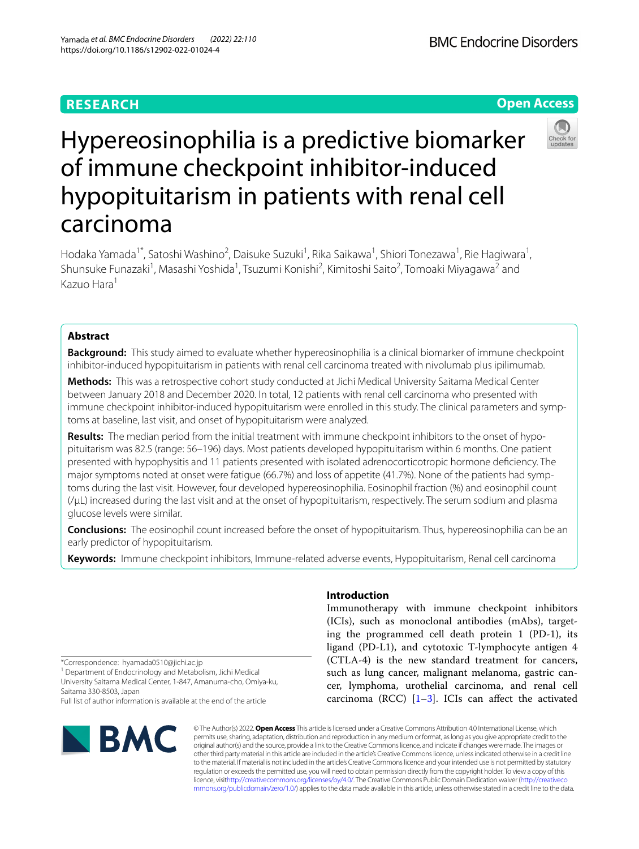# **RESEARCH**

**BMC Endocrine Disorders** 

**Open Access**



# Hypereosinophilia is a predictive biomarker of immune checkpoint inhibitor-induced hypopituitarism in patients with renal cell carcinoma

Hodaka Yamada<sup>1\*</sup>, Satoshi Washino<sup>2</sup>, Daisuke Suzuki<sup>1</sup>, Rika Saikawa<sup>1</sup>, Shiori Tonezawa<sup>1</sup>, Rie Hagiwara<sup>1</sup>, Shunsuke Funazaki<sup>1</sup>, Masashi Yoshida<sup>1</sup>, Tsuzumi Konishi<sup>2</sup>, Kimitoshi Saito<sup>2</sup>, Tomoaki Miyagawa<sup>2</sup> and Kazuo Hara1

# **Abstract**

**Background:** This study aimed to evaluate whether hypereosinophilia is a clinical biomarker of immune checkpoint inhibitor-induced hypopituitarism in patients with renal cell carcinoma treated with nivolumab plus ipilimumab.

**Methods:** This was a retrospective cohort study conducted at Jichi Medical University Saitama Medical Center between January 2018 and December 2020. In total, 12 patients with renal cell carcinoma who presented with immune checkpoint inhibitor-induced hypopituitarism were enrolled in this study. The clinical parameters and symptoms at baseline, last visit, and onset of hypopituitarism were analyzed.

**Results:** The median period from the initial treatment with immune checkpoint inhibitors to the onset of hypopituitarism was 82.5 (range: 56–196) days. Most patients developed hypopituitarism within 6 months. One patient presented with hypophysitis and 11 patients presented with isolated adrenocorticotropic hormone defciency. The major symptoms noted at onset were fatigue (66.7%) and loss of appetite (41.7%). None of the patients had symptoms during the last visit. However, four developed hypereosinophilia. Eosinophil fraction (%) and eosinophil count (/µL) increased during the last visit and at the onset of hypopituitarism, respectively. The serum sodium and plasma glucose levels were similar.

**Conclusions:** The eosinophil count increased before the onset of hypopituitarism. Thus, hypereosinophilia can be an early predictor of hypopituitarism.

**Keywords:** Immune checkpoint inhibitors, Immune-related adverse events, Hypopituitarism, Renal cell carcinoma

\*Correspondence: hyamada0510@jichi.ac.jp

<sup>1</sup> Department of Endocrinology and Metabolism, Jichi Medical University Saitama Medical Center, 1-847, Amanuma-cho, Omiya-ku, Saitama 330-8503, Japan

Full list of author information is available at the end of the article



# **Introduction**

Immunotherapy with immune checkpoint inhibitors (ICIs), such as monoclonal antibodies (mAbs), targeting the programmed cell death protein 1 (PD-1), its ligand (PD-L1), and cytotoxic T-lymphocyte antigen 4 (CTLA-4) is the new standard treatment for cancers, such as lung cancer, malignant melanoma, gastric cancer, lymphoma, urothelial carcinoma, and renal cell carcinoma (RCC)  $[1-3]$  $[1-3]$ . ICIs can affect the activated

© The Author(s) 2022. **Open Access** This article is licensed under a Creative Commons Attribution 4.0 International License, which permits use, sharing, adaptation, distribution and reproduction in any medium or format, as long as you give appropriate credit to the original author(s) and the source, provide a link to the Creative Commons licence, and indicate if changes were made. The images or other third party material in this article are included in the article's Creative Commons licence, unless indicated otherwise in a credit line to the material. If material is not included in the article's Creative Commons licence and your intended use is not permitted by statutory regulation or exceeds the permitted use, you will need to obtain permission directly from the copyright holder. To view a copy of this licence, visi[thttp://creativecommons.org/licenses/by/4.0/](http://creativecommons.org/licenses/by/4.0/). The Creative Commons Public Domain Dedication waiver [\(http://creativeco](http://creativecommons.org/publicdomain/zero/1.0/) [mmons.org/publicdomain/zero/1.0/](http://creativecommons.org/publicdomain/zero/1.0/)) applies to the data made available in this article, unless otherwise stated in a credit line to the data.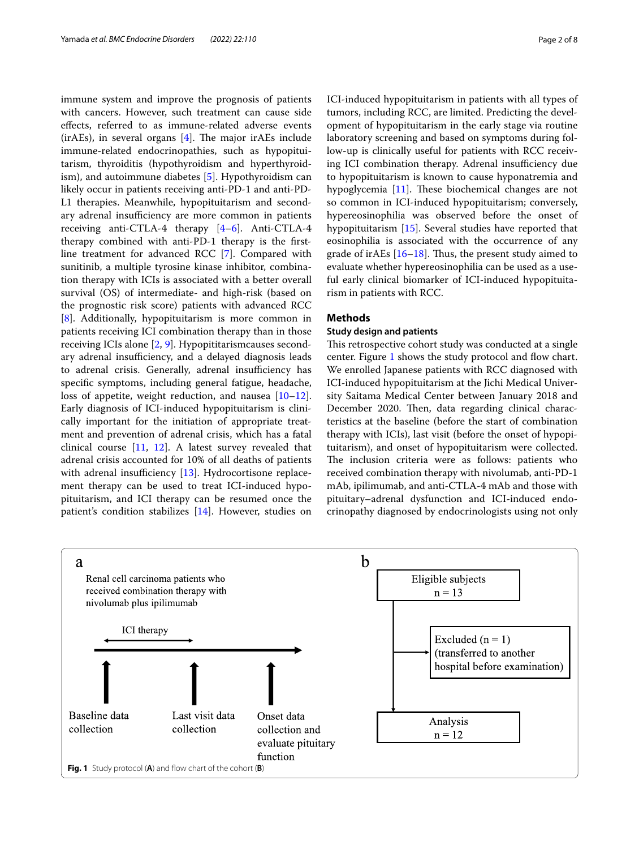immune system and improve the prognosis of patients with cancers. However, such treatment can cause side efects, referred to as immune-related adverse events  $(irAEs)$ , in several organs  $[4]$  $[4]$ . The major irAEs include immune-related endocrinopathies, such as hypopituitarism, thyroiditis (hypothyroidism and hyperthyroidism), and autoimmune diabetes [[5\]](#page-6-3). Hypothyroidism can likely occur in patients receiving anti-PD-1 and anti-PD-L1 therapies. Meanwhile, hypopituitarism and secondary adrenal insufficiency are more common in patients receiving anti-CTLA-4 therapy  $[4-6]$  $[4-6]$  $[4-6]$ . Anti-CTLA-4 therapy combined with anti-PD-1 therapy is the frstline treatment for advanced RCC [\[7\]](#page-6-5). Compared with sunitinib, a multiple tyrosine kinase inhibitor, combination therapy with ICIs is associated with a better overall survival (OS) of intermediate- and high-risk (based on the prognostic risk score) patients with advanced RCC [[8\]](#page-6-6). Additionally, hypopituitarism is more common in patients receiving ICI combination therapy than in those receiving ICIs alone [\[2,](#page-6-7) [9\]](#page-6-8). Hypopititarismcauses secondary adrenal insufficiency, and a delayed diagnosis leads to adrenal crisis. Generally, adrenal insufficiency has specifc symptoms, including general fatigue, headache, loss of appetite, weight reduction, and nausea [[10](#page-6-9)[–12](#page-6-10)]. Early diagnosis of ICI-induced hypopituitarism is clinically important for the initiation of appropriate treatment and prevention of adrenal crisis, which has a fatal clinical course [\[11](#page-6-11), [12](#page-6-10)]. A latest survey revealed that adrenal crisis accounted for 10% of all deaths of patients with adrenal insufficiency  $[13]$  $[13]$ . Hydrocortisone replacement therapy can be used to treat ICI-induced hypopituitarism, and ICI therapy can be resumed once the patient's condition stabilizes [\[14\]](#page-6-13). However, studies on

ICI-induced hypopituitarism in patients with all types of tumors, including RCC, are limited. Predicting the development of hypopituitarism in the early stage via routine laboratory screening and based on symptoms during follow-up is clinically useful for patients with RCC receiving ICI combination therapy. Adrenal insufficiency due to hypopituitarism is known to cause hyponatremia and hypoglycemia  $[11]$  $[11]$ . These biochemical changes are not so common in ICI-induced hypopituitarism; conversely, hypereosinophilia was observed before the onset of hypopituitarism [\[15](#page-6-14)]. Several studies have reported that eosinophilia is associated with the occurrence of any grade of ir $AEs$  [[16](#page-6-15)[–18](#page-6-16)]. Thus, the present study aimed to evaluate whether hypereosinophilia can be used as a useful early clinical biomarker of ICI-induced hypopituitarism in patients with RCC.

#### **Methods**

## **Study design and patients**

This retrospective cohort study was conducted at a single center. Figure [1](#page-1-0) shows the study protocol and flow chart. We enrolled Japanese patients with RCC diagnosed with ICI-induced hypopituitarism at the Jichi Medical University Saitama Medical Center between January 2018 and December 2020. Then, data regarding clinical characteristics at the baseline (before the start of combination therapy with ICIs), last visit (before the onset of hypopituitarism), and onset of hypopituitarism were collected. The inclusion criteria were as follows: patients who received combination therapy with nivolumab, anti-PD-1 mAb, ipilimumab, and anti-CTLA-4 mAb and those with pituitary–adrenal dysfunction and ICI-induced endocrinopathy diagnosed by endocrinologists using not only

<span id="page-1-0"></span>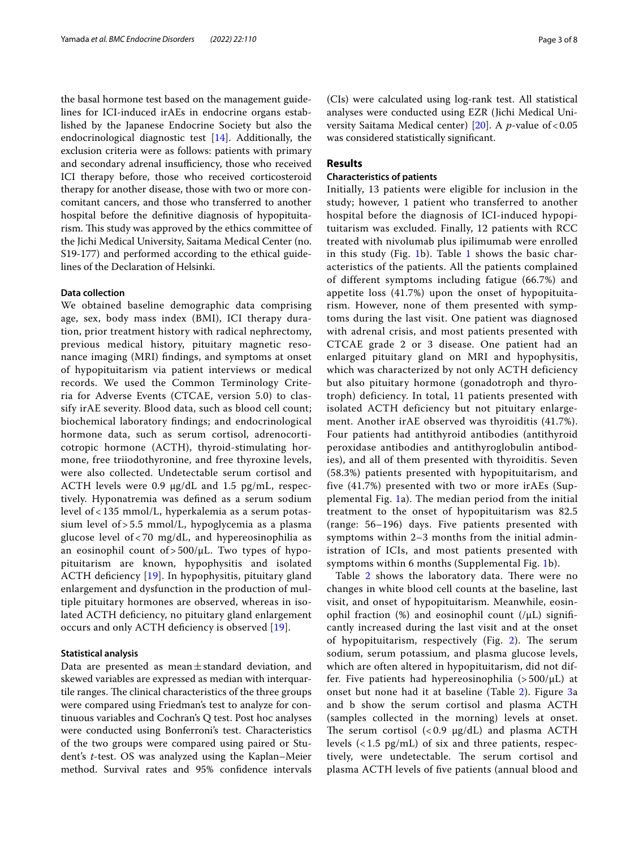the basal hormone test based on the management guidelines for ICI-induced irAEs in endocrine organs established by the Japanese Endocrine Society but also the endocrinological diagnostic test [\[14\]](#page-6-13). Additionally, the exclusion criteria were as follows: patients with primary and secondary adrenal insufficiency, those who received ICI therapy before, those who received corticosteroid therapy for another disease, those with two or more concomitant cancers, and those who transferred to another hospital before the defnitive diagnosis of hypopituitarism. This study was approved by the ethics committee of the Jichi Medical University, Saitama Medical Center (no. S19-177) and performed according to the ethical guidelines of the Declaration of Helsinki.

# **Data collection**

We obtained baseline demographic data comprising age, sex, body mass index (BMI), ICI therapy duration, prior treatment history with radical nephrectomy, previous medical history, pituitary magnetic resonance imaging (MRI) fndings, and symptoms at onset of hypopituitarism via patient interviews or medical records. We used the Common Terminology Criteria for Adverse Events (CTCAE, version 5.0) to classify irAE severity. Blood data, such as blood cell count; biochemical laboratory fndings; and endocrinological hormone data, such as serum cortisol, adrenocorticotropic hormone (ACTH), thyroid-stimulating hormone, free triiodothyronine, and free thyroxine levels, were also collected. Undetectable serum cortisol and ACTH levels were 0.9  $\mu$ g/dL and 1.5 pg/mL, respectively. Hyponatremia was defned as a serum sodium level of < 135 mmol/L, hyperkalemia as a serum potassium level of > 5.5 mmol/L, hypoglycemia as a plasma glucose level of < 70 mg/dL, and hypereosinophilia as an eosinophil count of  $> 500/\mu L$ . Two types of hypopituitarism are known, hypophysitis and isolated ACTH defciency [\[19](#page-6-17)]. In hypophysitis, pituitary gland enlargement and dysfunction in the production of multiple pituitary hormones are observed, whereas in isolated ACTH deficiency, no pituitary gland enlargement occurs and only ACTH defciency is observed [\[19](#page-6-17)].

# **Statistical analysis**

Data are presented as mean $\pm$ standard deviation, and skewed variables are expressed as median with interquartile ranges. The clinical characteristics of the three groups were compared using Friedman's test to analyze for continuous variables and Cochran's Q test. Post hoc analyses were conducted using Bonferroni's test. Characteristics of the two groups were compared using paired or Student's *t*-test. OS was analyzed using the Kaplan–Meier method. Survival rates and 95% confdence intervals

(CIs) were calculated using log-rank test. All statistical analyses were conducted using EZR (Jichi Medical Uni-versity Saitama Medical center) [[20\]](#page-6-18). A *p*-value of < 0.05 was considered statistically signifcant.

# **Results**

## **Characteristics of patients**

Initially, 13 patients were eligible for inclusion in the study; however, 1 patient who transferred to another hospital before the diagnosis of ICI-induced hypopituitarism was excluded. Finally, 12 patients with RCC treated with nivolumab plus ipilimumab were enrolled in this study (Fig. [1](#page-3-0)b). Table 1 shows the basic characteristics of the patients. All the patients complained of different symptoms including fatigue (66.7%) and appetite loss (41.7%) upon the onset of hypopituitarism. However, none of them presented with symptoms during the last visit. One patient was diagnosed with adrenal crisis, and most patients presented with CTCAE grade 2 or 3 disease. One patient had an enlarged pituitary gland on MRI and hypophysitis, which was characterized by not only ACTH deficiency but also pituitary hormone (gonadotroph and thyrotroph) deficiency. In total, 11 patients presented with isolated ACTH deficiency but not pituitary enlargement. Another irAE observed was thyroiditis (41.7%). Four patients had antithyroid antibodies (antithyroid peroxidase antibodies and antithyroglobulin antibodies), and all of them presented with thyroiditis. Seven (58.3%) patients presented with hypopituitarism, and five (41.7%) presented with two or more irAEs (Supplemental Fig. [1a](#page-5-0)). The median period from the initial treatment to the onset of hypopituitarism was 82.5 (range: 56–196) days. Five patients presented with symptoms within 2–3 months from the initial administration of ICIs, and most patients presented with symptoms within 6 months (Supplemental Fig. [1](#page-5-0)b).

Table [2](#page-4-0) shows the laboratory data. There were no changes in white blood cell counts at the baseline, last visit, and onset of hypopituitarism. Meanwhile, eosinophil fraction  $(\%)$  and eosinophil count  $(/\mu L)$  significantly increased during the last visit and at the onset of hypopituitarism, respectively (Fig. [2\)](#page-4-1). The serum sodium, serum potassium, and plasma glucose levels, which are often altered in hypopituitarism, did not differ. Five patients had hypereosinophilia  $(>500/\mu L)$  at onset but none had it at baseline (Table [2\)](#page-4-0). Figure [3](#page-5-1)a and b show the serum cortisol and plasma ACTH (samples collected in the morning) levels at onset. The serum cortisol  $(< 0.9 \text{ µg}/dL)$  and plasma ACTH levels  $\left($  < 1.5 pg/mL) of six and three patients, respectively, were undetectable. The serum cortisol and plasma ACTH levels of fve patients (annual blood and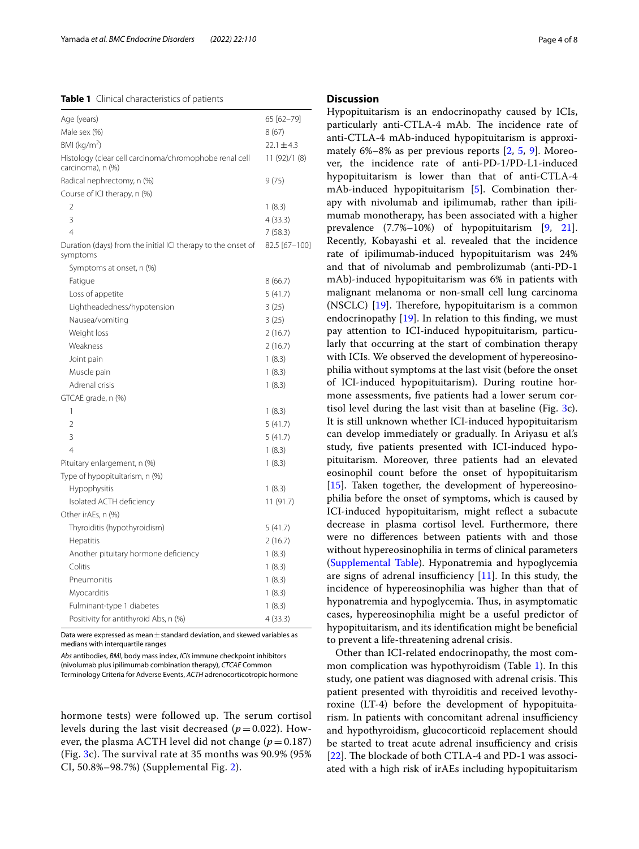## <span id="page-3-0"></span>**Table 1** Clinical characteristics of patients

| Age (years)                                                                 | 65 [62-79]     |
|-----------------------------------------------------------------------------|----------------|
| Male sex (%)                                                                | 8(67)          |
| $BMl$ (kg/m <sup>2</sup> )                                                  | $22.1 \pm 4.3$ |
| Histology (clear cell carcinoma/chromophobe renal cell<br>carcinoma), n (%) | 11 (92)/1 (8)  |
| Radical nephrectomy, n (%)                                                  | 9(75)          |
| Course of ICI therapy, n (%)                                                |                |
| 2                                                                           | 1(8.3)         |
| 3                                                                           | 4(33.3)        |
| 4                                                                           | 7(58.3)        |
| Duration (days) from the initial ICI therapy to the onset of<br>symptoms    | 82.5 [67-100]  |
| Symptoms at onset, n (%)                                                    |                |
| Fatigue                                                                     | 8 (66.7)       |
| Loss of appetite                                                            | 5(41.7)        |
| Lightheadedness/hypotension                                                 | 3(25)          |
| Nausea/vomiting                                                             | 3(25)          |
| Weight loss                                                                 | 2(16.7)        |
| Weakness                                                                    | 2(16.7)        |
| Joint pain                                                                  | 1(8.3)         |
| Muscle pain                                                                 | 1(8.3)         |
| Adrenal crisis                                                              | 1(8.3)         |
| GTCAE grade, n (%)                                                          |                |
| 1                                                                           | 1(8.3)         |
| $\overline{2}$                                                              | 5(41.7)        |
| 3                                                                           | 5(41.7)        |
| 4                                                                           | 1(8.3)         |
| Pituitary enlargement, n (%)                                                | 1(8.3)         |
| Type of hypopituitarism, n (%)                                              |                |
| Hypophysitis                                                                | 1(8.3)         |
| Isolated ACTH deficiency                                                    | 11 (91.7)      |
| Other irAEs, n (%)                                                          |                |
| Thyroiditis (hypothyroidism)                                                | 5(41.7)        |
| Hepatitis                                                                   | 2(16.7)        |
| Another pituitary hormone deficiency                                        | 1(8.3)         |
| Colitis                                                                     | 1(8.3)         |
| Pneumonitis                                                                 | 1(8.3)         |
| Myocarditis                                                                 | 1(8.3)         |
| Fulminant-type 1 diabetes                                                   | 1(8.3)         |
| Positivity for antithyroid Abs, n (%)                                       |                |

Data were expressed as mean  $\pm$  standard deviation, and skewed variables as medians with interquartile ranges

*Abs* antibodies, *BMI*, body mass index, *ICIs* immune checkpoint inhibitors (nivolumab plus ipilimumab combination therapy), *CTCAE* Common

Terminology Criteria for Adverse Events, *ACTH* adrenocorticotropic hormone

hormone tests) were followed up. The serum cortisol levels during the last visit decreased  $(p=0.022)$ . However, the plasma ACTH level did not change  $(p=0.187)$ (Fig. [3c](#page-5-1)). The survival rate at 35 months was  $90.9\%$  (95%) CI, 50.8%–98.7%) (Supplemental Fig. [2\)](#page-5-2).

# **Discussion**

Hypopituitarism is an endocrinopathy caused by ICIs, particularly anti-CTLA-4 mAb. The incidence rate of anti-CTLA-4 mAb-induced hypopituitarism is approximately 6%–8% as per previous reports [\[2](#page-6-7), [5,](#page-6-3) [9](#page-6-8)]. Moreover, the incidence rate of anti-PD-1/PD-L1-induced hypopituitarism is lower than that of anti-CTLA-4 mAb-induced hypopituitarism [\[5](#page-6-3)]. Combination therapy with nivolumab and ipilimumab, rather than ipilimumab monotherapy, has been associated with a higher prevalence (7.7%–10%) of hypopituitarism [[9,](#page-6-8) [21](#page-6-19)]. Recently, Kobayashi et al. revealed that the incidence rate of ipilimumab-induced hypopituitarism was 24% and that of nivolumab and pembrolizumab (anti-PD-1 mAb)-induced hypopituitarism was 6% in patients with malignant melanoma or non-small cell lung carcinoma (NSCLC)  $[19]$  $[19]$ . Therefore, hypopituitarism is a common endocrinopathy  $[19]$  $[19]$  $[19]$ . In relation to this finding, we must pay attention to ICI-induced hypopituitarism, particularly that occurring at the start of combination therapy with ICIs. We observed the development of hypereosinophilia without symptoms at the last visit (before the onset of ICI-induced hypopituitarism). During routine hormone assessments, fve patients had a lower serum cortisol level during the last visit than at baseline (Fig. [3c](#page-5-1)). It is still unknown whether ICI-induced hypopituitarism can develop immediately or gradually. In Ariyasu et al.'s study, fve patients presented with ICI-induced hypopituitarism. Moreover, three patients had an elevated eosinophil count before the onset of hypopituitarism [[15\]](#page-6-14). Taken together, the development of hypereosinophilia before the onset of symptoms, which is caused by ICI-induced hypopituitarism, might refect a subacute decrease in plasma cortisol level. Furthermore, there were no diferences between patients with and those without hypereosinophilia in terms of clinical parameters ([Supplemental Table](#page-5-3)). Hyponatremia and hypoglycemia are signs of adrenal insufficiency  $[11]$  $[11]$  $[11]$ . In this study, the incidence of hypereosinophilia was higher than that of hyponatremia and hypoglycemia. Thus, in asymptomatic cases, hypereosinophilia might be a useful predictor of hypopituitarism, and its identifcation might be benefcial to prevent a life-threatening adrenal crisis.

Other than ICI-related endocrinopathy, the most common complication was hypothyroidism (Table [1](#page-3-0)). In this study, one patient was diagnosed with adrenal crisis. This patient presented with thyroiditis and received levothyroxine (LT-4) before the development of hypopituitarism. In patients with concomitant adrenal insufficiency and hypothyroidism, glucocorticoid replacement should be started to treat acute adrenal insufficiency and crisis [[22\]](#page-6-20). The blockade of both CTLA-4 and PD-1 was associated with a high risk of irAEs including hypopituitarism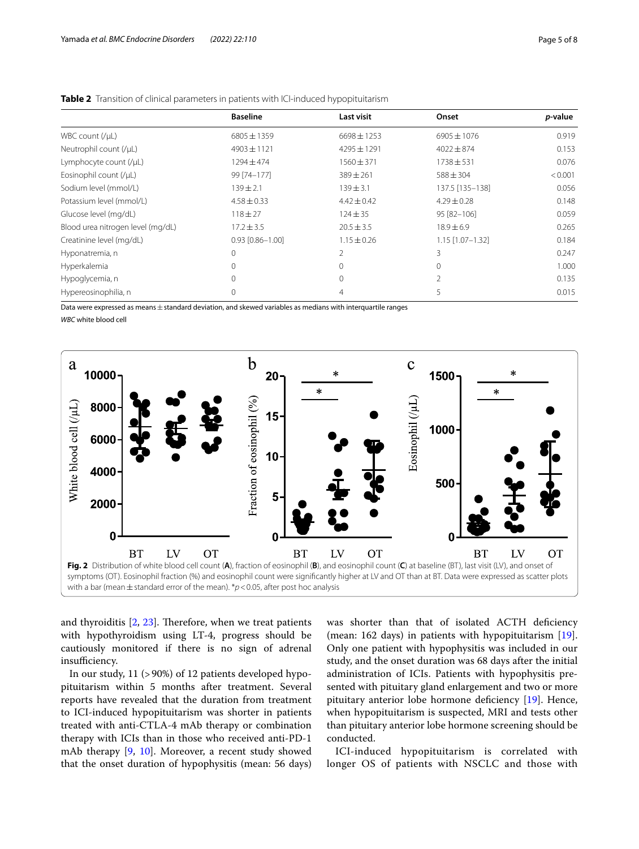|                                   | <b>Baseline</b>        | Last visit      | Onset            | p-value |
|-----------------------------------|------------------------|-----------------|------------------|---------|
| WBC count $(yµ)$                  | $6805 \pm 1359$        | $6698 \pm 1253$ | $6905 \pm 1076$  | 0.919   |
| Neutrophil count (/µL)            | $4903 \pm 1121$        | $4295 \pm 1291$ | $4022 \pm 874$   | 0.153   |
| Lymphocyte count (/µL)            | 1294 ± 474             | $1560 \pm 371$  | $1738 \pm 531$   | 0.076   |
| Eosinophil count (/µL)            | 99 [74-177]            | $389 \pm 261$   | $588 \pm 304$    | < 0.001 |
| Sodium level (mmol/L)             | $139 \pm 2.1$          | $139 \pm 3.1$   | 137.5 [135-138]  | 0.056   |
| Potassium level (mmol/L)          | $4.58 \pm 0.33$        | $4.42 \pm 0.42$ | $4.29 \pm 0.28$  | 0.148   |
| Glucose level (mg/dL)             | $118 + 27$             | $124 \pm 35$    | 95 [82-106]      | 0.059   |
| Blood urea nitrogen level (mg/dL) | $17.2 \pm 3.5$         | $20.5 \pm 3.5$  | $18.9 \pm 6.9$   | 0.265   |
| Creatinine level (mg/dL)          | $0.93$ $[0.86 - 1.00]$ | $1.15 \pm 0.26$ | 1.15 [1.07-1.32] | 0.184   |
| Hyponatremia, n                   | $\Omega$               | $\overline{2}$  | 3                | 0.247   |
| Hyperkalemia                      | $\Omega$               | $\Omega$        | $\Omega$         | 1.000   |
| Hypoglycemia, n                   | $\Omega$               | $\Omega$        | $\mathfrak{D}$   | 0.135   |
| Hypereosinophilia, n              | $\Omega$               | 4               | 5                | 0.015   |

<span id="page-4-0"></span>

Data were expressed as means  $\pm$  standard deviation, and skewed variables as medians with interquartile ranges

*WBC* white blood cell



<span id="page-4-1"></span>and thyroiditis  $[2, 23]$  $[2, 23]$  $[2, 23]$  $[2, 23]$ . Therefore, when we treat patients with hypothyroidism using LT-4, progress should be cautiously monitored if there is no sign of adrenal insufficiency.

In our study, 11 (>90%) of 12 patients developed hypopituitarism within 5 months after treatment. Several reports have revealed that the duration from treatment to ICI-induced hypopituitarism was shorter in patients treated with anti-CTLA-4 mAb therapy or combination therapy with ICIs than in those who received anti-PD-1 mAb therapy [\[9,](#page-6-8) [10\]](#page-6-9). Moreover, a recent study showed that the onset duration of hypophysitis (mean: 56 days) was shorter than that of isolated ACTH defciency (mean: 162 days) in patients with hypopituitarism [\[19](#page-6-17)]. Only one patient with hypophysitis was included in our study, and the onset duration was 68 days after the initial administration of ICIs. Patients with hypophysitis presented with pituitary gland enlargement and two or more pituitary anterior lobe hormone defciency [\[19](#page-6-17)]. Hence, when hypopituitarism is suspected, MRI and tests other than pituitary anterior lobe hormone screening should be conducted.

ICI-induced hypopituitarism is correlated with longer OS of patients with NSCLC and those with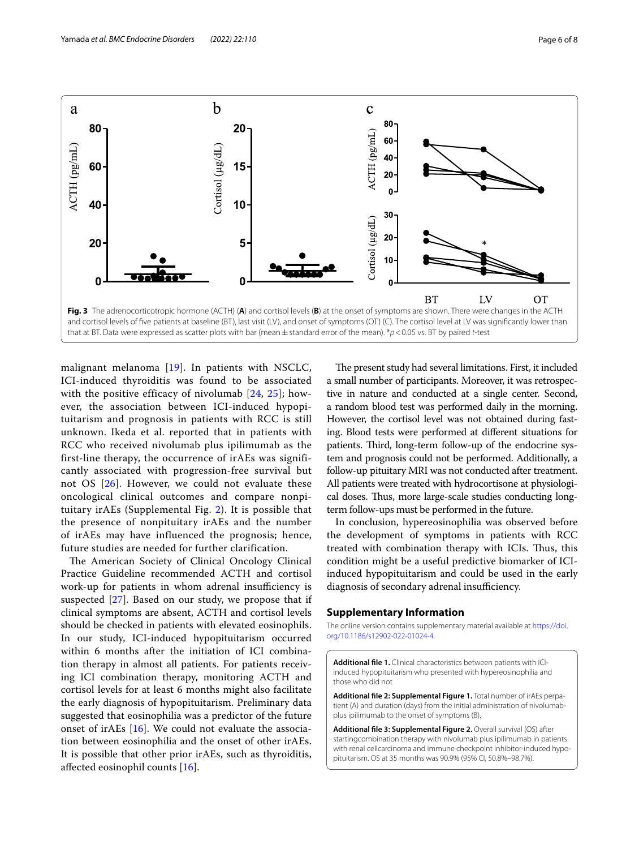

<span id="page-5-1"></span>malignant melanoma [\[19\]](#page-6-17). In patients with NSCLC, ICI-induced thyroiditis was found to be associated with the positive efficacy of nivolumab [\[24](#page-6-22), [25\]](#page-6-23); however, the association between ICI-induced hypopituitarism and prognosis in patients with RCC is still unknown. Ikeda et al. reported that in patients with RCC who received nivolumab plus ipilimumab as the first-line therapy, the occurrence of irAEs was significantly associated with progression-free survival but not OS [[26\]](#page-6-24). However, we could not evaluate these oncological clinical outcomes and compare nonpituitary irAEs (Supplemental Fig. [2\)](#page-5-2). It is possible that the presence of nonpituitary irAEs and the number of irAEs may have influenced the prognosis; hence, future studies are needed for further clarification.

The American Society of Clinical Oncology Clinical Practice Guideline recommended ACTH and cortisol work-up for patients in whom adrenal insufficiency is suspected [[27\]](#page-7-0). Based on our study, we propose that if clinical symptoms are absent, ACTH and cortisol levels should be checked in patients with elevated eosinophils. In our study, ICI-induced hypopituitarism occurred within 6 months after the initiation of ICI combination therapy in almost all patients. For patients receiving ICI combination therapy, monitoring ACTH and cortisol levels for at least 6 months might also facilitate the early diagnosis of hypopituitarism. Preliminary data suggested that eosinophilia was a predictor of the future onset of irAEs [[16\]](#page-6-15). We could not evaluate the association between eosinophilia and the onset of other irAEs. It is possible that other prior irAEs, such as thyroiditis, afected eosinophil counts [\[16](#page-6-15)].

The present study had several limitations. First, it included a small number of participants. Moreover, it was retrospective in nature and conducted at a single center. Second, a random blood test was performed daily in the morning. However, the cortisol level was not obtained during fasting. Blood tests were performed at diferent situations for patients. Third, long-term follow-up of the endocrine system and prognosis could not be performed. Additionally, a follow-up pituitary MRI was not conducted after treatment. All patients were treated with hydrocortisone at physiological doses. Thus, more large-scale studies conducting longterm follow-ups must be performed in the future.

In conclusion, hypereosinophilia was observed before the development of symptoms in patients with RCC treated with combination therapy with ICIs. Thus, this condition might be a useful predictive biomarker of ICIinduced hypopituitarism and could be used in the early diagnosis of secondary adrenal insufficiency.

#### **Supplementary Information**

The online version contains supplementary material available at [https://doi.](https://doi.org/10.1186/s12902-022-01024-4) [org/10.1186/s12902-022-01024-4](https://doi.org/10.1186/s12902-022-01024-4).

<span id="page-5-3"></span>**Additional fle 1.** Clinical characteristics between patients with ICIinduced hypopituitarism who presented with hypereosinophilia and those who did not

<span id="page-5-0"></span>**Additional fle 2: Supplemental Figure 1.** Total number of irAEs perpatient (A) and duration (days) from the initial administration of nivolumabplus ipilimumab to the onset of symptoms (B).

<span id="page-5-2"></span>**Additional fle 3: Supplemental Figure 2.** Overall survival (OS) after startingcombination therapy with nivolumab plus ipilimumab in patients with renal cellcarcinoma and immune checkpoint inhibitor-induced hypopituitarism. OS at 35 months was 90.9% (95% CI, 50.8%–98.7%).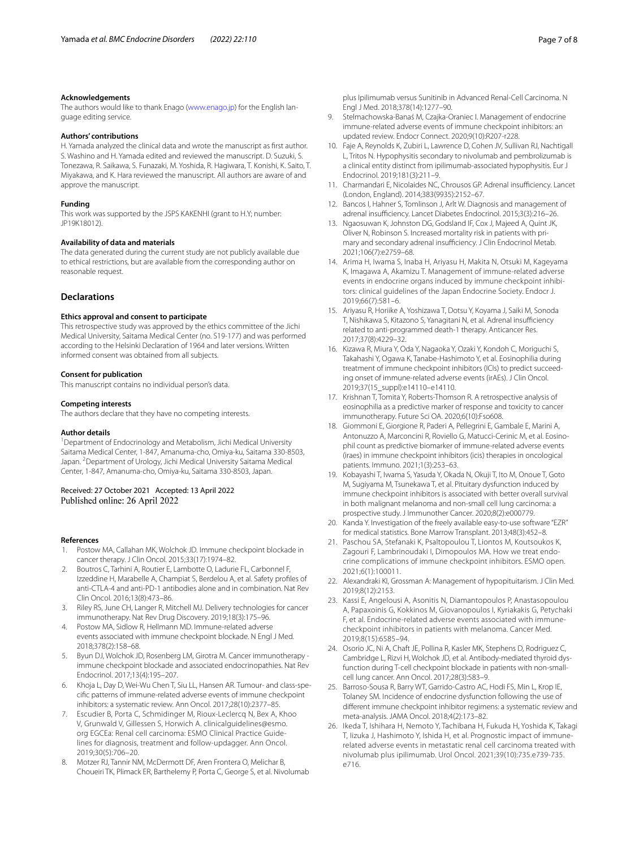#### **Acknowledgements**

The authors would like to thank Enago [\(www.enago.jp\)](http://www.enago.jp) for the English language editing service.

#### **Authors' contributions**

H. Yamada analyzed the clinical data and wrote the manuscript as frst author. S. Washino and H. Yamada edited and reviewed the manuscript. D. Suzuki, S. Tonezawa, R. Saikawa, S. Funazaki, M. Yoshida, R. Hagiwara, T. Konishi, K. Saito, T. Miyakawa, and K. Hara reviewed the manuscript. All authors are aware of and approve the manuscript.

### **Funding**

This work was supported by the JSPS KAKENHI (grant to H.Y; number: JP19K18012).

#### **Availability of data and materials**

The data generated during the current study are not publicly available due to ethical restrictions, but are available from the corresponding author on reasonable request.

# **Declarations**

#### **Ethics approval and consent to participate**

This retrospective study was approved by the ethics committee of the Jichi Medical University, Saitama Medical Center (no. S19-177) and was performed according to the Helsinki Declaration of 1964 and later versions. Written informed consent was obtained from all subjects.

#### **Consent for publication**

This manuscript contains no individual person's data.

#### **Competing interests**

The authors declare that they have no competing interests.

#### **Author details**

<sup>1</sup> Department of Endocrinology and Metabolism, Jichi Medical University Saitama Medical Center, 1-847, Amanuma-cho, Omiya-ku, Saitama 330-8503, Japan. <sup>2</sup> Department of Urology, Jichi Medical University Saitama Medical Center, 1-847, Amanuma-cho, Omiya-ku, Saitama 330-8503, Japan.

# Received: 27 October 2021 Accepted: 13 April 2022 Published online: 26 April 2022

#### **References**

- <span id="page-6-0"></span>1. Postow MA, Callahan MK, Wolchok JD. Immune checkpoint blockade in cancer therapy. J Clin Oncol. 2015;33(17):1974–82.
- <span id="page-6-7"></span>2. Boutros C, Tarhini A, Routier E, Lambotte O, Ladurie FL, Carbonnel F, Izzeddine H, Marabelle A, Champiat S, Berdelou A, et al. Safety profles of anti-CTLA-4 and anti-PD-1 antibodies alone and in combination. Nat Rev Clin Oncol. 2016;13(8):473–86.
- <span id="page-6-1"></span>3. Riley RS, June CH, Langer R, Mitchell MJ. Delivery technologies for cancer immunotherapy. Nat Rev Drug Discovery. 2019;18(3):175–96.
- <span id="page-6-2"></span>4. Postow MA, Sidlow R, Hellmann MD. Immune-related adverse events associated with immune checkpoint blockade. N Engl J Med. 2018;378(2):158–68.
- <span id="page-6-3"></span>5. Byun DJ, Wolchok JD, Rosenberg LM, Girotra M. Cancer immunotherapy immune checkpoint blockade and associated endocrinopathies. Nat Rev Endocrinol. 2017;13(4):195–207.
- <span id="page-6-4"></span>6. Khoja L, Day D, Wei-Wu Chen T, Siu LL, Hansen AR. Tumour- and class-specifc patterns of immune-related adverse events of immune checkpoint inhibitors: a systematic review. Ann Oncol. 2017;28(10):2377–85.
- <span id="page-6-5"></span>7. Escudier B, Porta C, Schmidinger M, Rioux-Leclercq N, Bex A, Khoo V, Grunwald V, Gillessen S, Horwich A. clinicalguidelines@esmo. org EGCEa: Renal cell carcinoma: ESMO Clinical Practice Guidelines for diagnosis, treatment and follow-updagger. Ann Oncol. 2019;30(5):706–20.
- <span id="page-6-6"></span>8. Motzer RJ, Tannir NM, McDermott DF, Aren Frontera O, Melichar B, Choueiri TK, Plimack ER, Barthelemy P, Porta C, George S, et al. Nivolumab

plus Ipilimumab versus Sunitinib in Advanced Renal-Cell Carcinoma. N Engl J Med. 2018;378(14):1277–90.

- <span id="page-6-8"></span>9. Stelmachowska-Banaś M, Czajka-Oraniec I. Management of endocrine immune-related adverse events of immune checkpoint inhibitors: an updated review. Endocr Connect. 2020;9(10):R207-r228.
- <span id="page-6-9"></span>10. Faje A, Reynolds K, Zubiri L, Lawrence D, Cohen JV, Sullivan RJ, Nachtigall L, Tritos N. Hypophysitis secondary to nivolumab and pembrolizumab is a clinical entity distinct from ipilimumab-associated hypophysitis. Eur J Endocrinol. 2019;181(3):211–9.
- <span id="page-6-11"></span>11. Charmandari E, Nicolaides NC, Chrousos GP. Adrenal insufficiency. Lancet (London, England). 2014;383(9935):2152–67.
- <span id="page-6-10"></span>12. Bancos I, Hahner S, Tomlinson J, Arlt W. Diagnosis and management of adrenal insufficiency. Lancet Diabetes Endocrinol. 2015;3(3):216-26.
- <span id="page-6-12"></span>13. Ngaosuwan K, Johnston DG, Godsland IF, Cox J, Majeed A, Quint JK, Oliver N, Robinson S. Increased mortality risk in patients with primary and secondary adrenal insufficiency. J Clin Endocrinol Metab. 2021;106(7):e2759–68.
- <span id="page-6-13"></span>14. Arima H, Iwama S, Inaba H, Ariyasu H, Makita N, Otsuki M, Kageyama K, Imagawa A, Akamizu T. Management of immune-related adverse events in endocrine organs induced by immune checkpoint inhibitors: clinical guidelines of the Japan Endocrine Society. Endocr J. 2019;66(7):581–6.
- <span id="page-6-14"></span>15. Ariyasu R, Horiike A, Yoshizawa T, Dotsu Y, Koyama J, Saiki M, Sonoda T, Nishikawa S, Kitazono S, Yanagitani N, et al. Adrenal insufficiency related to anti-programmed death-1 therapy. Anticancer Res. 2017;37(8):4229–32.
- <span id="page-6-15"></span>16. Kizawa R, Miura Y, Oda Y, Nagaoka Y, Ozaki Y, Kondoh C, Moriguchi S, Takahashi Y, Ogawa K, Tanabe-Hashimoto Y, et al. Eosinophilia during treatment of immune checkpoint inhibitors (ICIs) to predict succeeding onset of immune-related adverse events (irAEs). J Clin Oncol. 2019;37(15\_suppl):e14110–e14110.
- 17. Krishnan T, Tomita Y, Roberts-Thomson R. A retrospective analysis of eosinophilia as a predictive marker of response and toxicity to cancer immunotherapy. Future Sci OA. 2020;6(10):Fso608.
- <span id="page-6-16"></span>18. Giommoni E, Giorgione R, Paderi A, Pellegrini E, Gambale E, Marini A, Antonuzzo A, Marconcini R, Roviello G, Matucci-Cerinic M, et al. Eosinophil count as predictive biomarker of immune-related adverse events (iraes) in immune checkpoint inhibitors (icis) therapies in oncological patients. Immuno. 2021;1(3):253–63.
- <span id="page-6-17"></span>19. Kobayashi T, Iwama S, Yasuda Y, Okada N, Okuji T, Ito M, Onoue T, Goto M, Sugiyama M, Tsunekawa T, et al. Pituitary dysfunction induced by immune checkpoint inhibitors is associated with better overall survival in both malignant melanoma and non-small cell lung carcinoma: a prospective study. J Immunother Cancer. 2020;8(2):e000779.
- <span id="page-6-18"></span>20. Kanda Y. Investigation of the freely available easy-to-use software "EZR" for medical statistics. Bone Marrow Transplant. 2013;48(3):452–8.
- <span id="page-6-19"></span>21. Paschou SA, Stefanaki K, Psaltopoulou T, Liontos M, Koutsoukos K, Zagouri F, Lambrinoudaki I, Dimopoulos MA. How we treat endocrine complications of immune checkpoint inhibitors. ESMO open. 2021;6(1):100011.
- <span id="page-6-20"></span>22. Alexandraki KI, Grossman A: Management of hypopituitarism. J Clin Med. 2019;8(12):2153.
- <span id="page-6-21"></span>23. Kassi E, Angelousi A, Asonitis N, Diamantopoulos P, Anastasopoulou A, Papaxoinis G, Kokkinos M, Giovanopoulos I, Kyriakakis G, Petychaki F, et al. Endocrine-related adverse events associated with immunecheckpoint inhibitors in patients with melanoma. Cancer Med. 2019;8(15):6585–94.
- <span id="page-6-22"></span>24. Osorio JC, Ni A, Chaft JE, Pollina R, Kasler MK, Stephens D, Rodriguez C, Cambridge L, Rizvi H, Wolchok JD, et al. Antibody-mediated thyroid dysfunction during T-cell checkpoint blockade in patients with non-smallcell lung cancer. Ann Oncol. 2017;28(3):583–9.
- <span id="page-6-23"></span>25. Barroso-Sousa R, Barry WT, Garrido-Castro AC, Hodi FS, Min L, Krop IE, Tolaney SM. Incidence of endocrine dysfunction following the use of diferent immune checkpoint inhibitor regimens: a systematic review and meta-analysis. JAMA Oncol. 2018;4(2):173–82.
- <span id="page-6-24"></span>26. Ikeda T, Ishihara H, Nemoto Y, Tachibana H, Fukuda H, Yoshida K, Takagi T, Iizuka J, Hashimoto Y, Ishida H, et al. Prognostic impact of immunerelated adverse events in metastatic renal cell carcinoma treated with nivolumab plus ipilimumab. Urol Oncol. 2021;39(10):735.e739-735. e716.